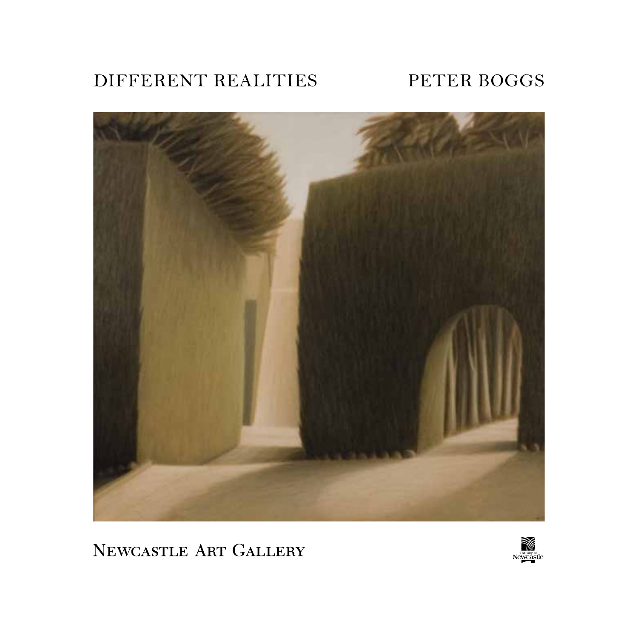## DIFFERENT REALITIES PETER BOGGS



NEWCASTLE ART GALLERY

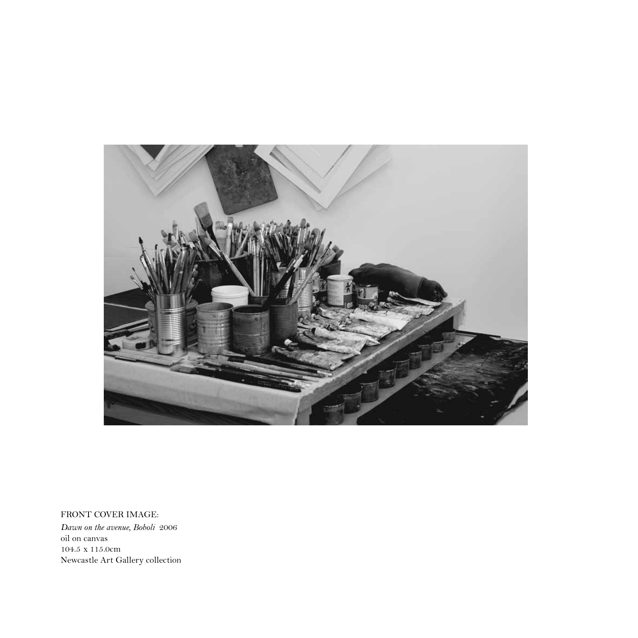

FRONT COVER IMAGE: *Dawn on the avenue, Boboli* 2006 oil on canvas 104.5 x 115.0cm Newcastle Art Gallery collection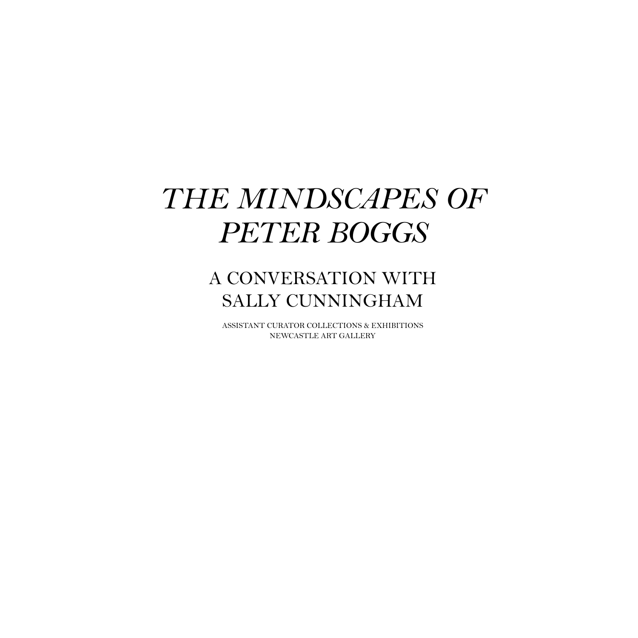# *THE MINDSCAPES OF PETER BOGGS*

# A CONVERSATION WITH SALLY CUNNINGHAM

ASSISTANT CURATOR COLLECTIONS & EXHIBITIONS NEWCASTLE ART GALLERY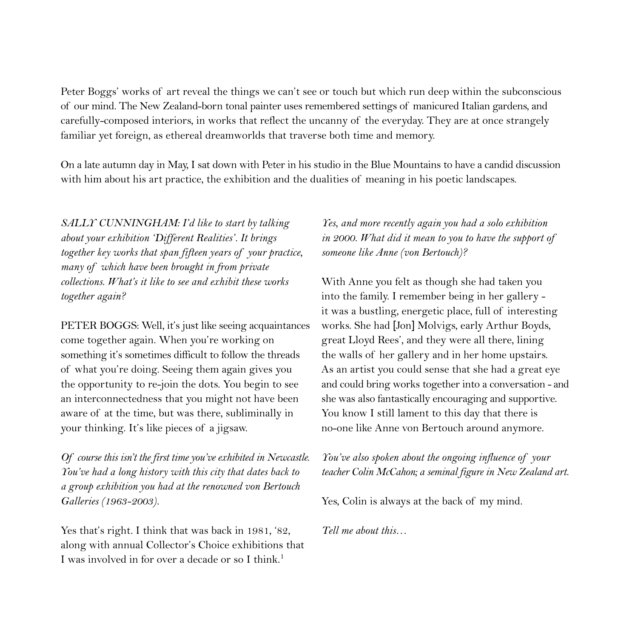Peter Boggs' works of art reveal the things we can't see or touch but which run deep within the subconscious of our mind. The New Zealand-born tonal painter uses remembered settings of manicured Italian gardens, and carefully-composed interiors, in works that reflect the uncanny of the everyday. They are at once strangely familiar yet foreign, as ethereal dreamworlds that traverse both time and memory.

On a late autumn day in May, I sat down with Peter in his studio in the Blue Mountains to have a candid discussion with him about his art practice, the exhibition and the dualities of meaning in his poetic landscapes.

*SALLY CUNNINGHAM: I'd like to start by talking about your exhibition 'Different Realities'. It brings together key works that span fifteen years of your practice, many of which have been brought in from private collections. What's it like to see and exhibit these works together again?*

PETER BOGGS: Well, it's just like seeing acquaintances come together again. When you're working on something it's sometimes difficult to follow the threads of what you're doing. Seeing them again gives you the opportunity to re-join the dots. You begin to see an interconnectedness that you might not have been aware of at the time, but was there, subliminally in your thinking. It's like pieces of a jigsaw.

*Of course this isn't the first time you've exhibited in Newcastle. You've had a long history with this city that dates back to a group exhibition you had at the renowned von Bertouch Galleries (1963-2003).*

Yes that's right. I think that was back in 1981, '82, along with annual Collector's Choice exhibitions that I was involved in for over a decade or so I think.<sup>1</sup>

*Yes, and more recently again you had a solo exhibition in 2000. What did it mean to you to have the support of someone like Anne (von Bertouch)?*

With Anne you felt as though she had taken you into the family. I remember being in her gallery it was a bustling, energetic place, full of interesting works. She had [Jon] Molvigs, early Arthur Boyds, great Lloyd Rees', and they were all there, lining the walls of her gallery and in her home upstairs. As an artist you could sense that she had a great eye and could bring works together into a conversation - and she was also fantastically encouraging and supportive. You know I still lament to this day that there is no-one like Anne von Bertouch around anymore.

*You've also spoken about the ongoing influence of your teacher Colin McCahon; a seminal figure in New Zealand art.*

Yes, Colin is always at the back of my mind.

*Tell me about this…*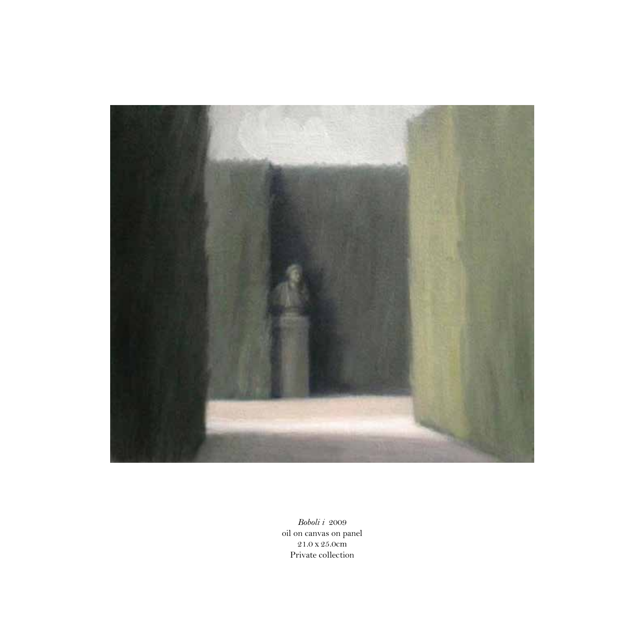

*Boboli i* 2009 oil on canvas on panel 21.0 x 25.0cm Private collection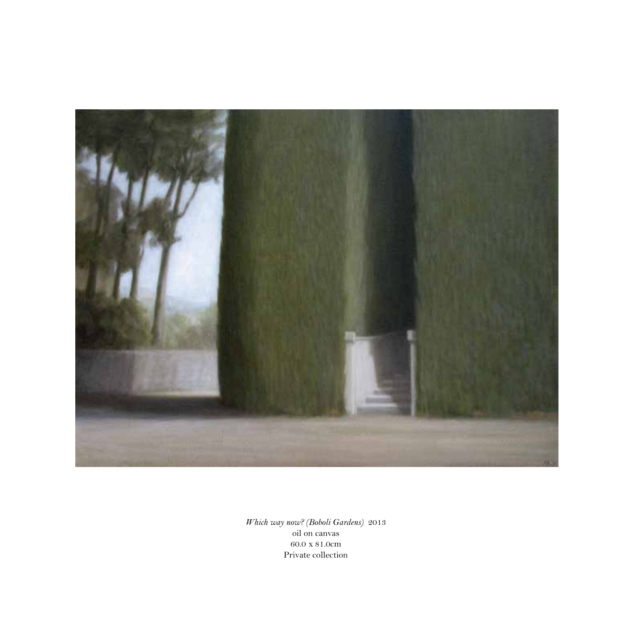

*Which way now? (Boboli Gardens)* 2013 oil on canvas 60.0 x 81.0cm Private collection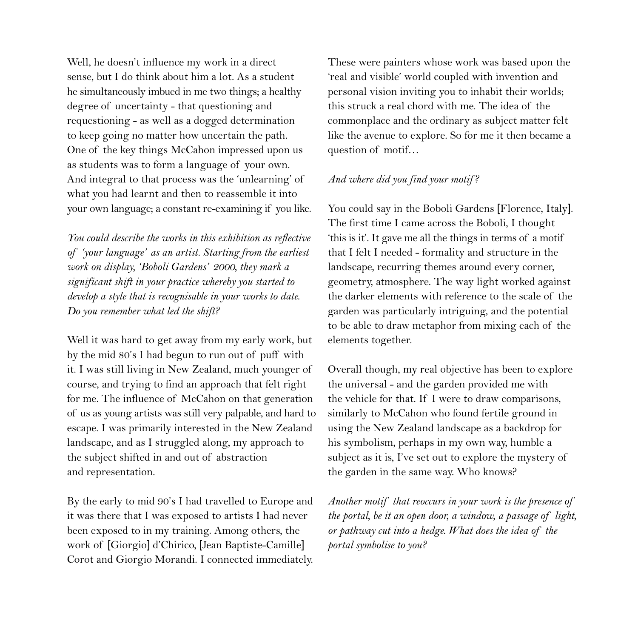Well, he doesn't influence my work in a direct sense, but I do think about him a lot. As a student he simultaneously imbued in me two things; a healthy degree of uncertainty - that questioning and requestioning - as well as a dogged determination to keep going no matter how uncertain the path. One of the key things McCahon impressed upon us as students was to form a language of your own. And integral to that process was the 'unlearning' of what you had learnt and then to reassemble it into your own language; a constant re-examining if you like.

*You could describe the works in this exhibition as reflective of 'your language' as an artist. Starting from the earliest work on display, 'Boboli Gardens' 2000, they mark a significant shift in your practice whereby you started to develop a style that is recognisable in your works to date. Do you remember what led the shift?*

Well it was hard to get away from my early work, but by the mid 80's I had begun to run out of puff with it. I was still living in New Zealand, much younger of course, and trying to find an approach that felt right for me. The influence of McCahon on that generation of us as young artists was still very palpable, and hard to escape. I was primarily interested in the New Zealand landscape, and as I struggled along, my approach to the subject shifted in and out of abstraction and representation.

By the early to mid 90's I had travelled to Europe and it was there that I was exposed to artists I had never been exposed to in my training. Among others, the work of [Giorgio] d'Chirico, [Jean Baptiste-Camille] Corot and Giorgio Morandi. I connected immediately.

These were painters whose work was based upon the 'real and visible' world coupled with invention and personal vision inviting you to inhabit their worlds; this struck a real chord with me. The idea of the commonplace and the ordinary as subject matter felt like the avenue to explore. So for me it then became a question of motif…

#### *And where did you find your motif ?*

You could say in the Boboli Gardens [Florence, Italy]. The first time I came across the Boboli, I thought 'this is it'. It gave me all the things in terms of a motif that I felt I needed - formality and structure in the landscape, recurring themes around every corner, geometry, atmosphere. The way light worked against the darker elements with reference to the scale of the garden was particularly intriguing, and the potential to be able to draw metaphor from mixing each of the elements together.

Overall though, my real objective has been to explore the universal - and the garden provided me with the vehicle for that. If I were to draw comparisons, similarly to McCahon who found fertile ground in using the New Zealand landscape as a backdrop for his symbolism, perhaps in my own way, humble a subject as it is, I've set out to explore the mystery of the garden in the same way. Who knows?

*Another motif that reoccurs in your work is the presence of the portal, be it an open door, a window, a passage of light, or pathway cut into a hedge. What does the idea of the portal symbolise to you?*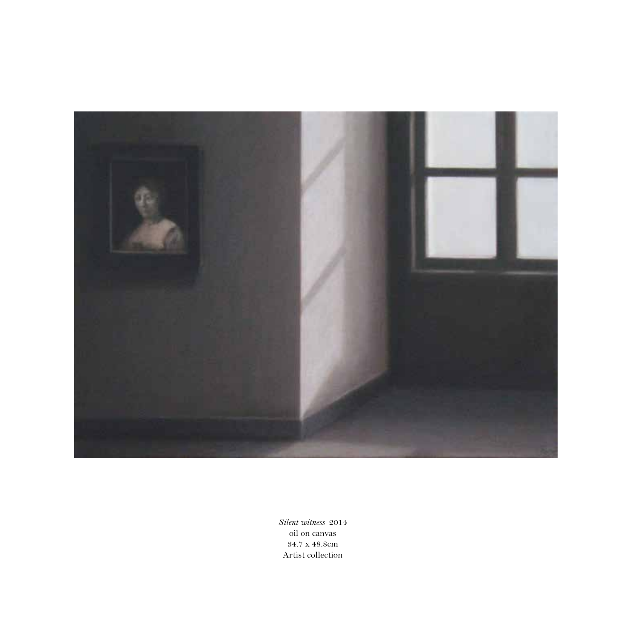

*Silent witness* 2014 oil on canvas 34.7 x 48.8cm Artist collection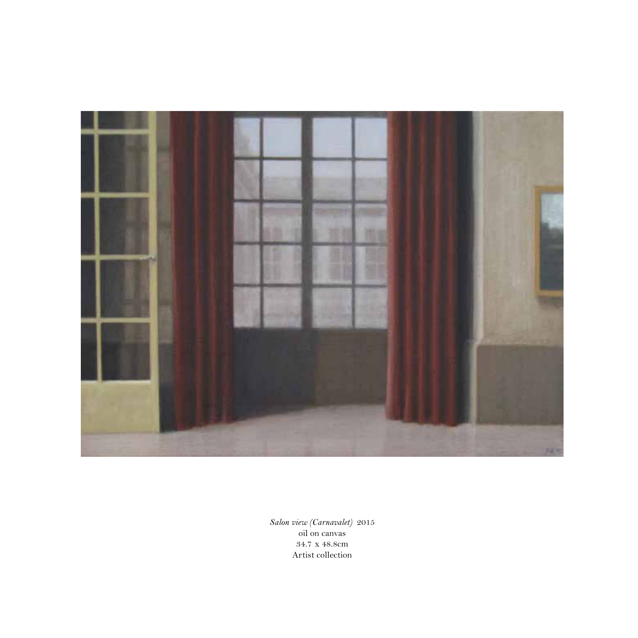

*Salon view (Carnavalet)* 2015 oil on canvas 34.7 x 48.8cm Artist collection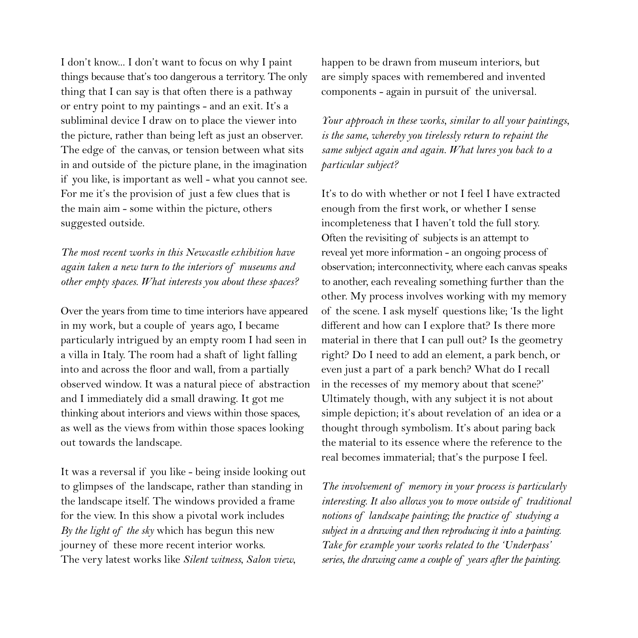I don't know... I don't want to focus on why I paint things because that's too dangerous a territory. The only thing that I can say is that often there is a pathway or entry point to my paintings - and an exit. It's a subliminal device I draw on to place the viewer into the picture, rather than being left as just an observer. The edge of the canvas, or tension between what sits in and outside of the picture plane, in the imagination if you like, is important as well - what you cannot see. For me it's the provision of just a few clues that is the main aim - some within the picture, others suggested outside.

*The most recent works in this Newcastle exhibition have again taken a new turn to the interiors of museums and other empty spaces. What interests you about these spaces?*

Over the years from time to time interiors have appeared in my work, but a couple of years ago, I became particularly intrigued by an empty room I had seen in a villa in Italy. The room had a shaft of light falling into and across the floor and wall, from a partially observed window. It was a natural piece of abstraction and I immediately did a small drawing. It got me thinking about interiors and views within those spaces, as well as the views from within those spaces looking out towards the landscape.

It was a reversal if you like - being inside looking out to glimpses of the landscape, rather than standing in the landscape itself. The windows provided a frame for the view. In this show a pivotal work includes *By the light of the sky* which has begun this new journey of these more recent interior works. The very latest works like *Silent witness*, *Salon view*,

happen to be drawn from museum interiors, but are simply spaces with remembered and invented components - again in pursuit of the universal.

*Your approach in these works, similar to all your paintings, is the same, whereby you tirelessly return to repaint the same subject again and again. What lures you back to a particular subject?* 

It's to do with whether or not I feel I have extracted enough from the first work, or whether I sense incompleteness that I haven't told the full story. Often the revisiting of subjects is an attempt to reveal yet more information - an ongoing process of observation; interconnectivity, where each canvas speaks to another, each revealing something further than the other. My process involves working with my memory of the scene. I ask myself questions like; 'Is the light different and how can I explore that? Is there more material in there that I can pull out? Is the geometry right? Do I need to add an element, a park bench, or even just a part of a park bench? What do I recall in the recesses of my memory about that scene?' Ultimately though, with any subject it is not about simple depiction; it's about revelation of an idea or a thought through symbolism. It's about paring back the material to its essence where the reference to the real becomes immaterial; that's the purpose I feel.

*The involvement of memory in your process is particularly interesting. It also allows you to move outside of traditional notions of landscape painting; the practice of studying a subject in a drawing and then reproducing it into a painting. Take for example your works related to the 'Underpass' series, the drawing came a couple of years after the painting.*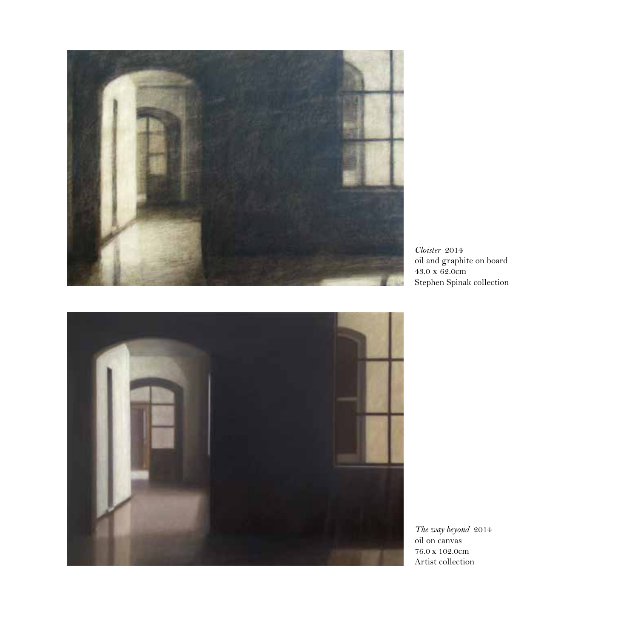

*Cloister* 2014 oil and graphite on board 43.0 x 62.0cm Stephen Spinak collection



*The way beyond* 2014 oil on canvas 76.0 x 102.0cm Artist collection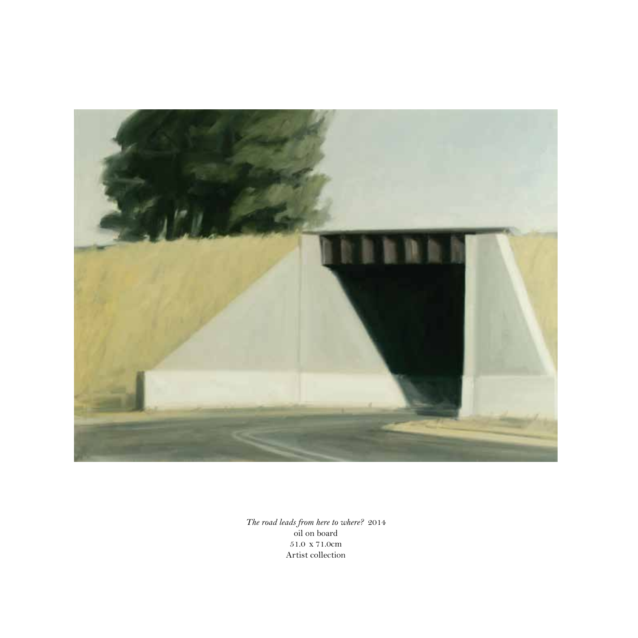

*The road leads from here to where?* 2014 oil on board 51.0 x 71.0cm Artist collection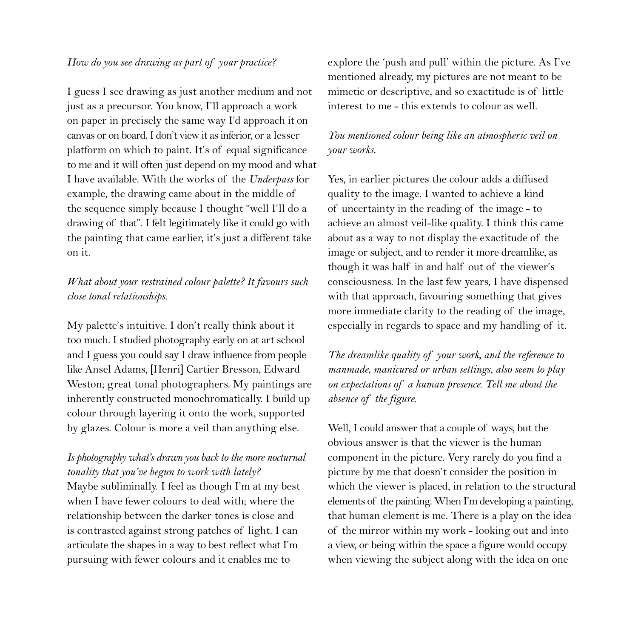#### *How do you see drawing as part of your practice?*

I guess I see drawing as just another medium and not just as a precursor. You know, I'll approach a work on paper in precisely the same way I'd approach it on canvas or on board. I don't view it as inferior, or a lesser platform on which to paint. It's of equal significance to me and it will often just depend on my mood and what I have available. With the works of the *Underpass* for example, the drawing came about in the middle of the sequence simply because I thought "well I'll do a drawing of that". I felt legitimately like it could go with the painting that came earlier, it's just a different take on it.

#### *What about your restrained colour palette? It favours such close tonal relationships.*

My palette's intuitive. I don't really think about it too much. I studied photography early on at art school and I guess you could say I draw influence from people like Ansel Adams, [Henri] Cartier Bresson, Edward Weston; great tonal photographers. My paintings are inherently constructed monochromatically. I build up colour through layering it onto the work, supported by glazes. Colour is more a veil than anything else.

### *Is photography what's drawn you back to the more nocturnal tonality that you've begun to work with lately?*

Maybe subliminally. I feel as though I'm at my best when I have fewer colours to deal with; where the relationship between the darker tones is close and is contrasted against strong patches of light. I can articulate the shapes in a way to best reflect what I'm pursuing with fewer colours and it enables me to

explore the 'push and pull' within the picture. As I've mentioned already, my pictures are not meant to be mimetic or descriptive, and so exactitude is of little interest to me - this extends to colour as well.

#### *You mentioned colour being like an atmospheric veil on your works*.

Yes, in earlier pictures the colour adds a diffused quality to the image. I wanted to achieve a kind of uncertainty in the reading of the image - to achieve an almost veil-like quality. I think this came about as a way to not display the exactitude of the image or subject, and to render it more dreamlike, as though it was half in and half out of the viewer's consciousness. In the last few years, I have dispensed with that approach, favouring something that gives more immediate clarity to the reading of the image, especially in regards to space and my handling of it.

*The dreamlike quality of your work, and the reference to manmade, manicured or urban settings, also seem to play on expectations of a human presence. Tell me about the absence of the figure.*

Well, I could answer that a couple of ways, but the obvious answer is that the viewer is the human component in the picture. Very rarely do you find a picture by me that doesn't consider the position in which the viewer is placed, in relation to the structural elements of the painting. When I'm developing a painting, that human element is me. There is a play on the idea of the mirror within my work - looking out and into a view, or being within the space a figure would occupy when viewing the subject along with the idea on one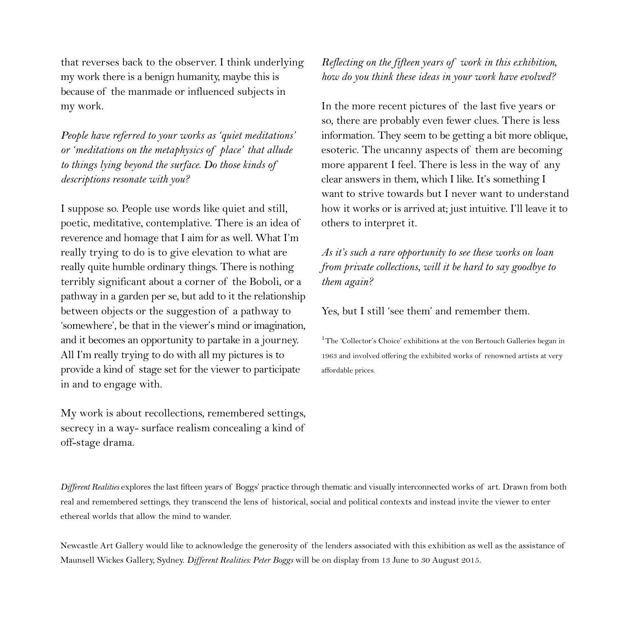that reverses back to the observer. I think underlying my work there is a benign humanity, maybe this is because of the manmade or influenced subjects in my work.

*People have referred to your works as 'quiet meditations' or 'meditations on the metaphysics of place' that allude to things lying beyond the surface. Do those kinds of descriptions resonate with you?*

I suppose so. People use words like quiet and still, poetic, meditative, contemplative. There is an idea of reverence and homage that I aim for as well. What I'm really trying to do is to give elevation to what are really quite humble ordinary things. There is nothing terribly significant about a corner of the Boboli, or a pathway in a garden per se, but add to it the relationship between objects or the suggestion of a pathway to 'somewhere', be that in the viewer's mind or imagination, and it becomes an opportunity to partake in a journey. All I'm really trying to do with all my pictures is to provide a kind of stage set for the viewer to participate in and to engage with.

My work is about recollections, remembered settings, secrecy in a way- surface realism concealing a kind of off-stage drama.

*Reflecting on the fifteen years of work in this exhibition, how do you think these ideas in your work have evolved?* 

In the more recent pictures of the last five years or so, there are probably even fewer clues. There is less information. They seem to be getting a bit more oblique, esoteric. The uncanny aspects of them are becoming more apparent I feel. There is less in the way of any clear answers in them, which I like. It's something I want to strive towards but I never want to understand how it works or is arrived at; just intuitive. I'll leave it to others to interpret it.

*As it's such a rare opportunity to see these works on loan from private collections, will it be hard to say goodbye to them again?*

Yes, but I still 'see them' and remember them.

<sup>1</sup>The 'Collector's Choice' exhibitions at the von Bertouch Galleries began in 1963 and involved offering the exhibited works of renowned artists at very affordable prices.

*Different Realities* explores the last fifteen years of Boggs' practice through thematic and visually interconnected works of art. Drawn from both real and remembered settings, they transcend the lens of historical, social and political contexts and instead invite the viewer to enter ethereal worlds that allow the mind to wander.

Newcastle Art Gallery would like to acknowledge the generosity of the lenders associated with this exhibition as well as the assistance of Maunsell Wickes Gallery, Sydney. *Different Realities: Peter Boggs* will be on display from 13 June to 30 August 2015.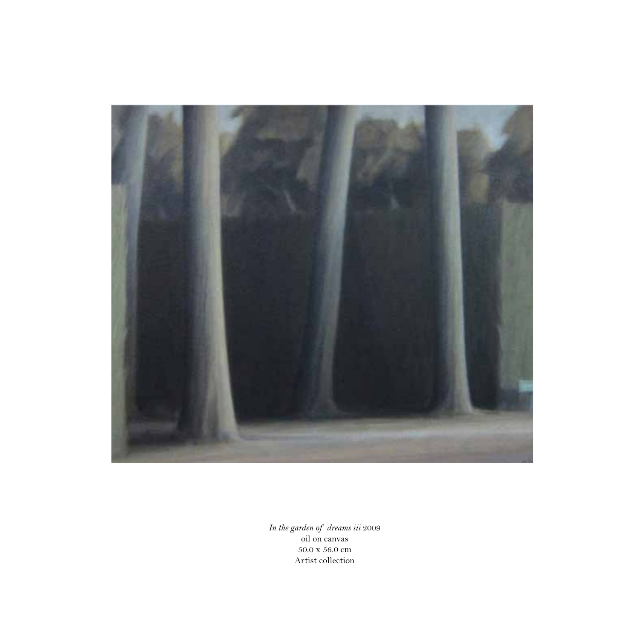

*In the garden of dreams iii* 2009 oil on canvas  $50.0$  x  $56.0$  cm Artist collection